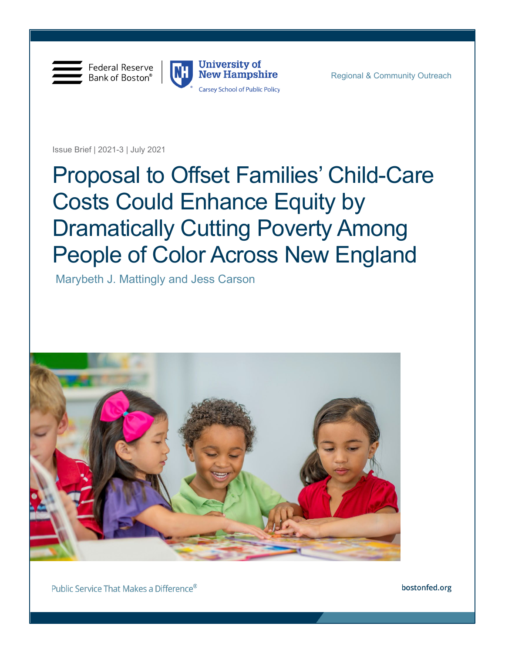

Federal Reserve Bank of Boston®



Issue Brief | 2021-3 | July 2021

# Proposal to Offset Families' Child-Care Costs Could Enhance Equity by Dramatically Cutting Poverty Among People of Color Across New England

Marybeth J. Mattingly and Jess Carson



Public Service That Makes a Difference®

bostonfed.org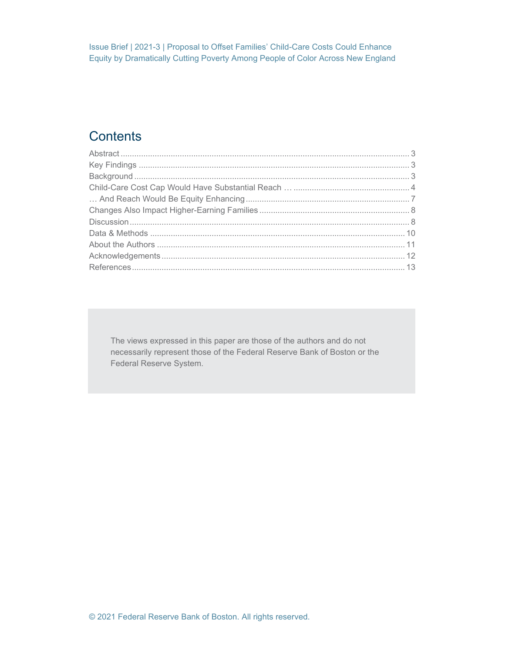# **Contents**

The views expressed in this paper are those of the authors and do not necessarily represent those of the Federal Reserve Bank of Boston or the Federal Reserve System.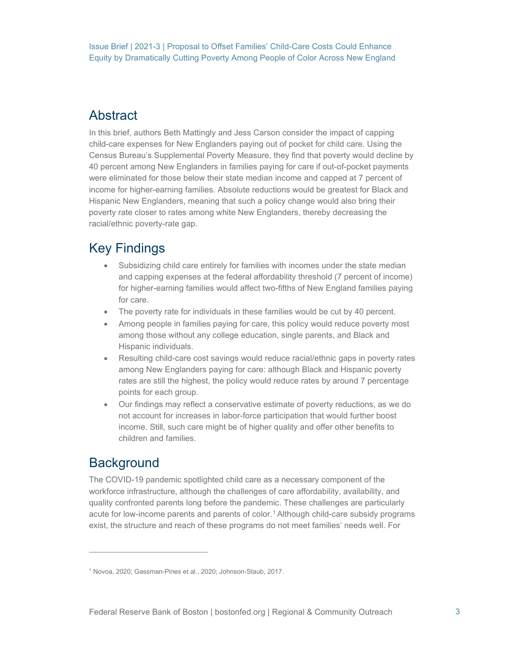# <span id="page-2-0"></span>Abstract

In this brief, authors Beth Mattingly and Jess Carson consider the impact of capping child-care expenses for New Englanders paying out of pocket for child care. Using the Census Bureau's Supplemental Poverty Measure, they find that poverty would decline by 40 percent among New Englanders in families paying for care if out-of-pocket payments were eliminated for those below their state median income and capped at 7 percent of income for higher-earning families. Absolute reductions would be greatest for Black and Hispanic New Englanders, meaning that such a policy change would also bring their poverty rate closer to rates among white New Englanders, thereby decreasing the racial/ethnic poverty-rate gap.

# <span id="page-2-1"></span>Key Findings

- Subsidizing child care entirely for families with incomes under the state median and capping expenses at the federal affordability threshold (7 percent of income) for higher-earning families would affect two-fifths of New England families paying for care.
- The poverty rate for individuals in these families would be cut by 40 percent.
- Among people in families paying for care, this policy would reduce poverty most among those without any college education, single parents, and Black and Hispanic individuals.
- Resulting child-care cost savings would reduce racial/ethnic gaps in poverty rates among New Englanders paying for care: although Black and Hispanic poverty rates are still the highest, the policy would reduce rates by around 7 percentage points for each group.
- Our findings may reflect a conservative estimate of poverty reductions, as we do not account for increases in labor-force participation that would further boost income. Still, such care might be of higher quality and offer other benefits to children and families.

## <span id="page-2-2"></span>**Background**

The COVID-19 pandemic spotlighted child care as a necessary component of the workforce infrastructure, although the challenges of care affordability, availability, and quality confronted parents long before the pandemic. These challenges are particularly acute for low-income parents and parents of color.[1](#page-2-3) Although child-care subsidy programs exist, the structure and reach of these programs do not meet families' needs well. For

<span id="page-2-3"></span><sup>1</sup> Novoa, 2020; Gassman-Pines et al., 2020; Johnson-Staub, 2017.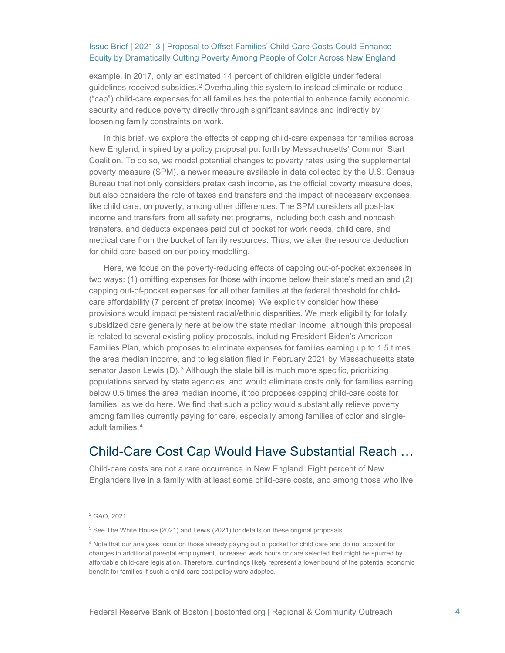example, in 2017, only an estimated 14 percent of children eligible under federal guidelines received subsidies.[2](#page-3-1) Overhauling this system to instead eliminate or reduce ("cap") child-care expenses for all families has the potential to enhance family economic security and reduce poverty directly through significant savings and indirectly by loosening family constraints on work.

In this brief, we explore the effects of capping child-care expenses for families across New England, inspired by a policy proposal put forth by Massachusetts' Common Start Coalition. To do so, we model potential changes to poverty rates using the supplemental poverty measure (SPM), a newer measure available in data collected by the U.S. Census Bureau that not only considers pretax cash income, as the official poverty measure does, but also considers the role of taxes and transfers and the impact of necessary expenses, like child care, on poverty, among other differences. The SPM considers all post-tax income and transfers from all safety net programs, including both cash and noncash transfers, and deducts expenses paid out of pocket for work needs, child care, and medical care from the bucket of family resources. Thus, we alter the resource deduction for child care based on our policy modelling.

Here, we focus on the poverty-reducing effects of capping out-of-pocket expenses in two ways: (1) omitting expenses for those with income below their state's median and (2) capping out-of-pocket expenses for all other families at the federal threshold for childcare affordability (7 percent of pretax income). We explicitly consider how these provisions would impact persistent racial/ethnic disparities. We mark eligibility for totally subsidized care generally here at below the state median income, although this proposal is related to several existing policy proposals, including President Biden's American Families Plan, which proposes to eliminate expenses for families earning up to 1.5 times the area median income, and to legislation filed in February 2021 by Massachusetts state senator Jason Lewis  $(D)$ .<sup>[3](#page-3-2)</sup> Although the state bill is much more specific, prioritizing populations served by state agencies, and would eliminate costs only for families earning below 0.5 times the area median income, it too proposes capping child-care costs for families, as we do here. We find that such a policy would substantially relieve poverty among families currently paying for care, especially among families of color and singleadult families.[4](#page-3-3)

### <span id="page-3-0"></span>Child-Care Cost Cap Would Have Substantial Reach …

Child-care costs are not a rare occurrence in New England. Eight percent of New Englanders live in a family with at least some child-care costs, and among those who live

<span id="page-3-1"></span><sup>2</sup> GAO, 2021.

<span id="page-3-2"></span><sup>&</sup>lt;sup>3</sup> See The White House (2021) and Lewis (2021) for details on these original proposals.

<span id="page-3-3"></span><sup>4</sup> Note that our analyses focus on those already paying out of pocket for child care and do not account for changes in additional parental employment, increased work hours or care selected that might be spurred by affordable child-care legislation. Therefore, our findings likely represent a lower bound of the potential economic benefit for families if such a child-care cost policy were adopted.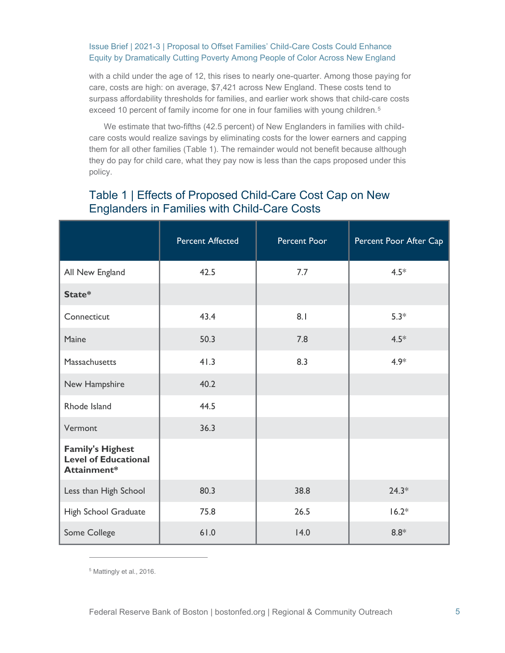with a child under the age of 12, this rises to nearly one-quarter. Among those paying for care, costs are high: on average, \$7,421 across New England. These costs tend to surpass affordability thresholds for families, and earlier work shows that child-care costs exceed 10 percent of family income for one in four families with young children.<sup>[5](#page-4-0)</sup>

We estimate that two-fifths (42.5 percent) of New Englanders in families with childcare costs would realize savings by eliminating costs for the lower earners and capping them for all other families (Table 1). The remainder would not benefit because although they do pay for child care, what they pay now is less than the caps proposed under this policy.

|                                                                       | <b>Percent Affected</b> | Percent Poor | Percent Poor After Cap |
|-----------------------------------------------------------------------|-------------------------|--------------|------------------------|
| All New England                                                       | 42.5                    | 7.7          | $4.5*$                 |
| State*                                                                |                         |              |                        |
| Connecticut                                                           | 43.4                    | 8.1          | $5.3*$                 |
| Maine                                                                 | 50.3                    | 7.8          | $4.5*$                 |
| Massachusetts                                                         | 41.3                    | 8.3          | $4.9*$                 |
| New Hampshire                                                         | 40.2                    |              |                        |
| Rhode Island                                                          | 44.5                    |              |                        |
| Vermont                                                               | 36.3                    |              |                        |
| <b>Family's Highest</b><br><b>Level of Educational</b><br>Attainment* |                         |              |                        |
| Less than High School                                                 | 80.3                    | 38.8         | $24.3*$                |
| High School Graduate                                                  | 75.8                    | 26.5         | $16.2*$                |
| Some College                                                          | 61.0                    | 14.0         | $8.8*$                 |

### Table 1 | Effects of Proposed Child-Care Cost Cap on New Englanders in Families with Child-Care Costs

<span id="page-4-0"></span><sup>5</sup> Mattingly et al., 2016.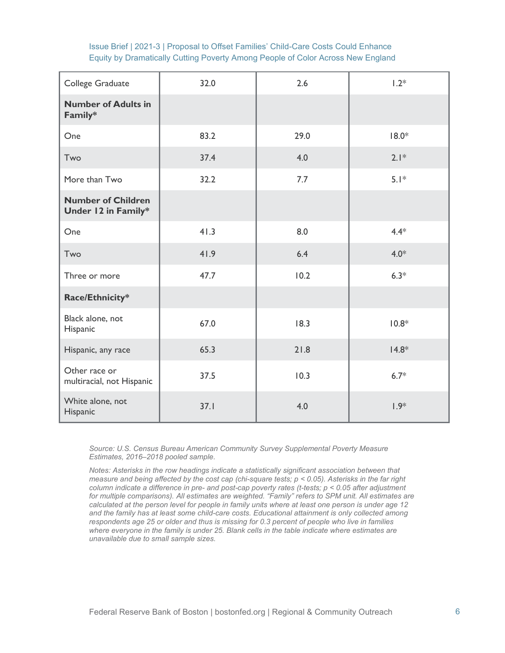| College Graduate                                 | 32.0 | 2.6  | $1.2*$  |
|--------------------------------------------------|------|------|---------|
| <b>Number of Adults in</b><br>Family*            |      |      |         |
| One                                              | 83.2 | 29.0 | $18.0*$ |
| Two                                              | 37.4 | 4.0  | $2.1*$  |
| More than Two                                    | 32.2 | 7.7  | $5.1*$  |
| <b>Number of Children</b><br>Under 12 in Family* |      |      |         |
| One                                              | 41.3 | 8.0  | $4.4*$  |
| Two                                              | 41.9 | 6.4  | $4.0*$  |
| Three or more                                    | 47.7 | 10.2 | $6.3*$  |
| Race/Ethnicity*                                  |      |      |         |
| Black alone, not<br>Hispanic                     | 67.0 | 18.3 | $10.8*$ |
| Hispanic, any race                               | 65.3 | 21.8 | $14.8*$ |
| Other race or<br>multiracial, not Hispanic       | 37.5 | 10.3 | $6.7*$  |
| White alone, not<br>Hispanic                     | 37.1 | 4.0  | $1.9*$  |

*Source: U.S. Census Bureau American Community Survey Supplemental Poverty Measure Estimates, 2016–2018 pooled sample.*

*Notes: Asterisks in the row headings indicate a statistically significant association between that measure and being affected by the cost cap (chi-square tests; p < 0.05). Asterisks in the far right column indicate a difference in pre- and post-cap poverty rates (t-tests; p < 0.05 after adjustment for multiple comparisons). All estimates are weighted. "Family" refers to SPM unit. All estimates are calculated at the person level for people in family units where at least one person is under age 12 and the family has at least some child-care costs. Educational attainment is only collected among respondents age 25 or older and thus is missing for 0.3 percent of people who live in families where everyone in the family is under 25. Blank cells in the table indicate where estimates are unavailable due to small sample sizes.*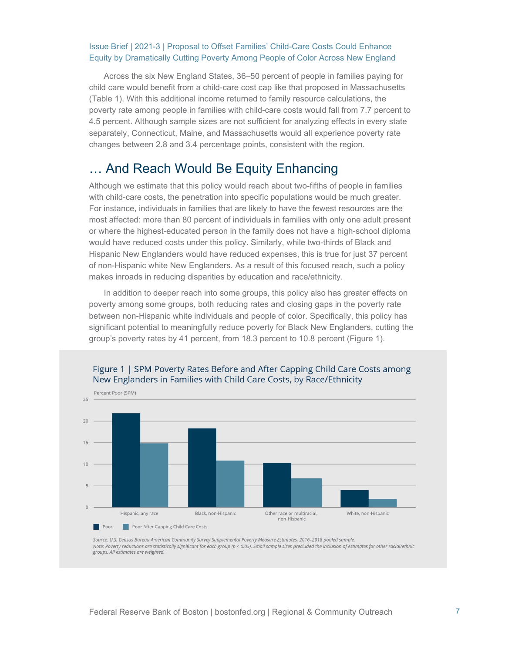Across the six New England States, 36–50 percent of people in families paying for child care would benefit from a child-care cost cap like that proposed in Massachusetts (Table 1). With this additional income returned to family resource calculations, the poverty rate among people in families with child-care costs would fall from 7.7 percent to 4.5 percent. Although sample sizes are not sufficient for analyzing effects in every state separately, Connecticut, Maine, and Massachusetts would all experience poverty rate changes between 2.8 and 3.4 percentage points, consistent with the region.

### <span id="page-6-0"></span>… And Reach Would Be Equity Enhancing

Although we estimate that this policy would reach about two-fifths of people in families with child-care costs, the penetration into specific populations would be much greater. For instance, individuals in families that are likely to have the fewest resources are the most affected: more than 80 percent of individuals in families with only one adult present or where the highest-educated person in the family does not have a high-school diploma would have reduced costs under this policy. Similarly, while two-thirds of Black and Hispanic New Englanders would have reduced expenses, this is true for just 37 percent of non-Hispanic white New Englanders. As a result of this focused reach, such a policy makes inroads in reducing disparities by education and race/ethnicity.

In addition to deeper reach into some groups, this policy also has greater effects on poverty among some groups, both reducing rates and closing gaps in the poverty rate between non-Hispanic white individuals and people of color. Specifically, this policy has significant potential to meaningfully reduce poverty for Black New Englanders, cutting the group's poverty rates by 41 percent, from 18.3 percent to 10.8 percent (Figure 1).



Source: U.S. Census Bureau American Community Survey Supplemental Poverty Measure Estimates, 2016-2018 pooled sample. Note: Poverty reductions are statistically significant for each group (p < 0.05). Small sample sizes precluded the inclusion of estimates for other racial/ethnic groups. All estimates are weighted.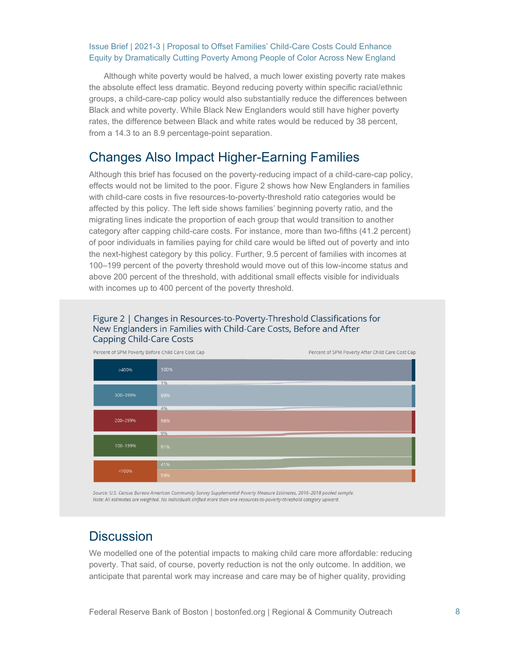Although white poverty would be halved, a much lower existing poverty rate makes the absolute effect less dramatic. Beyond reducing poverty within specific racial/ethnic groups, a child-care-cap policy would also substantially reduce the differences between Black and white poverty. While Black New Englanders would still have higher poverty rates, the difference between Black and white rates would be reduced by 38 percent, from a 14.3 to an 8.9 percentage-point separation.

### <span id="page-7-0"></span>Changes Also Impact Higher-Earning Families

Although this brief has focused on the poverty-reducing impact of a child-care-cap policy, effects would not be limited to the poor. Figure 2 shows how New Englanders in families with child-care costs in five resources-to-poverty-threshold ratio categories would be affected by this policy. The left side shows families' beginning poverty ratio, and the migrating lines indicate the proportion of each group that would transition to another category after capping child-care costs. For instance, more than two-fifths (41.2 percent) of poor individuals in families paying for child care would be lifted out of poverty and into the next-highest category by this policy. Further, 9.5 percent of families with incomes at 100–199 percent of the poverty threshold would move out of this low-income status and above 200 percent of the threshold, with additional small effects visible for individuals with incomes up to 400 percent of the poverty threshold.

#### Figure 2 | Changes in Resources-to-Poverty-Threshold Classifications for New Englanders in Families with Child-Care Costs, Before and After **Capping Child-Care Costs**



Source: U.S. Census Bureau American Community Survey Supplemental Poverty Measure Estimates, 2016-2018 pooled sample. Note: All estimates are weighted. No individuals shifted more than one resources-to-poverty-threshold category upward.

# <span id="page-7-1"></span>**Discussion**

We modelled one of the potential impacts to making child care more affordable: reducing poverty. That said, of course, poverty reduction is not the only outcome. In addition, we anticipate that parental work may increase and care may be of higher quality, providing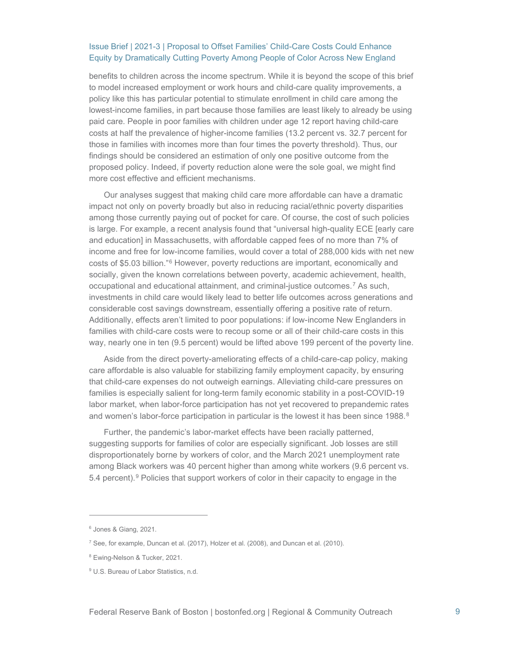benefits to children across the income spectrum. While it is beyond the scope of this brief to model increased employment or work hours and child-care quality improvements, a policy like this has particular potential to stimulate enrollment in child care among the lowest-income families, in part because those families are least likely to already be using paid care. People in poor families with children under age 12 report having child-care costs at half the prevalence of higher-income families (13.2 percent vs. 32.7 percent for those in families with incomes more than four times the poverty threshold). Thus, our findings should be considered an estimation of only one positive outcome from the proposed policy. Indeed, if poverty reduction alone were the sole goal, we might find more cost effective and efficient mechanisms.

Our analyses suggest that making child care more affordable can have a dramatic impact not only on poverty broadly but also in reducing racial/ethnic poverty disparities among those currently paying out of pocket for care. Of course, the cost of such policies is large. For example, a recent analysis found that "universal high-quality ECE [early care and education] in Massachusetts, with affordable capped fees of no more than 7% of income and free for low-income families, would cover a total of 288,000 kids with net new costs of \$5.03 billion."[6](#page-8-0) However, poverty reductions are important, economically and socially, given the known correlations between poverty, academic achievement, health, occupational and educational attainment, and criminal-justice outcomes.[7](#page-8-1) As such, investments in child care would likely lead to better life outcomes across generations and considerable cost savings downstream, essentially offering a positive rate of return. Additionally, effects aren't limited to poor populations: if low-income New Englanders in families with child-care costs were to recoup some or all of their child-care costs in this way, nearly one in ten (9.5 percent) would be lifted above 199 percent of the poverty line.

Aside from the direct poverty-ameliorating effects of a child-care-cap policy, making care affordable is also valuable for stabilizing family employment capacity, by ensuring that child-care expenses do not outweigh earnings. Alleviating child-care pressures on families is especially salient for long-term family economic stability in a post-COVID-19 labor market, when labor-force participation has not yet recovered to prepandemic rates and women's labor-force participation in particular is the lowest it has been since 19[8](#page-8-2)8.<sup>8</sup>

Further, the pandemic's labor-market effects have been racially patterned, suggesting supports for families of color are especially significant. Job losses are still disproportionately borne by workers of color, and the March 2021 unemployment rate among Black workers was 40 percent higher than among white workers (9.6 percent vs. 5.4 percent).[9](#page-8-3) Policies that support workers of color in their capacity to engage in the

<span id="page-8-0"></span><sup>6</sup> Jones & Giang, 2021.

<span id="page-8-1"></span><sup>7</sup> See, for example, Duncan et al. (2017), Holzer et al. (2008), and Duncan et al. (2010).

<span id="page-8-2"></span><sup>8</sup> Ewing-Nelson & Tucker, 2021.

<span id="page-8-3"></span><sup>&</sup>lt;sup>9</sup> U.S. Bureau of Labor Statistics, n.d.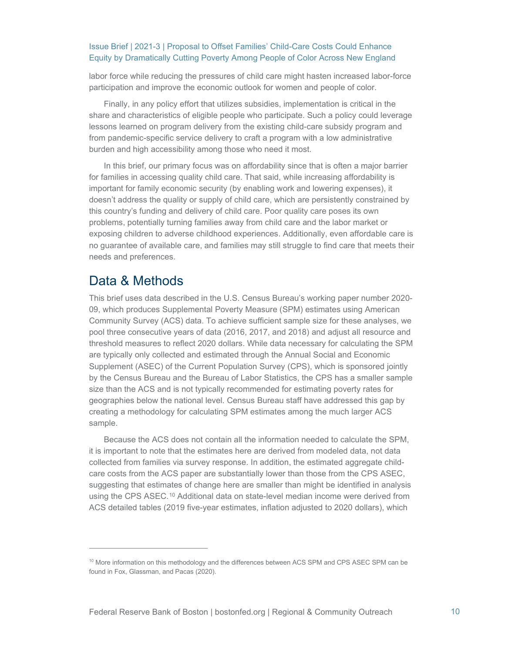labor force while reducing the pressures of child care might hasten increased labor-force participation and improve the economic outlook for women and people of color.

Finally, in any policy effort that utilizes subsidies, implementation is critical in the share and characteristics of eligible people who participate. Such a policy could leverage lessons learned on program delivery from the existing child-care subsidy program and from pandemic-specific service delivery to craft a program with a low administrative burden and high accessibility among those who need it most.

In this brief, our primary focus was on affordability since that is often a major barrier for families in accessing quality child care. That said, while increasing affordability is important for family economic security (by enabling work and lowering expenses), it doesn't address the quality or supply of child care, which are persistently constrained by this country's funding and delivery of child care. Poor quality care poses its own problems, potentially turning families away from child care and the labor market or exposing children to adverse childhood experiences. Additionally, even affordable care is no guarantee of available care, and families may still struggle to find care that meets their needs and preferences.

### <span id="page-9-0"></span>Data & Methods

This brief uses data described in the U.S. Census Bureau's working paper number 2020- 09, which produces Supplemental Poverty Measure (SPM) estimates using American Community Survey (ACS) data. To achieve sufficient sample size for these analyses, we pool three consecutive years of data (2016, 2017, and 2018) and adjust all resource and threshold measures to reflect 2020 dollars. While data necessary for calculating the SPM are typically only collected and estimated through the Annual Social and Economic Supplement (ASEC) of the Current Population Survey (CPS), which is sponsored jointly by the Census Bureau and the Bureau of Labor Statistics, the CPS has a smaller sample size than the ACS and is not typically recommended for estimating poverty rates for geographies below the national level. Census Bureau staff have addressed this gap by creating a methodology for calculating SPM estimates among the much larger ACS sample.

Because the ACS does not contain all the information needed to calculate the SPM, it is important to note that the estimates here are derived from modeled data, not data collected from families via survey response. In addition, the estimated aggregate childcare costs from the ACS paper are substantially lower than those from the CPS ASEC, suggesting that estimates of change here are smaller than might be identified in analysis using the CPS ASEC.[10](#page-9-1) Additional data on state-level median income were derived from ACS detailed tables (2019 five-year estimates, inflation adjusted to 2020 dollars), which

<span id="page-9-1"></span><sup>&</sup>lt;sup>10</sup> More information on this methodology and the differences between ACS SPM and CPS ASEC SPM can be found in Fox, Glassman, and Pacas (2020).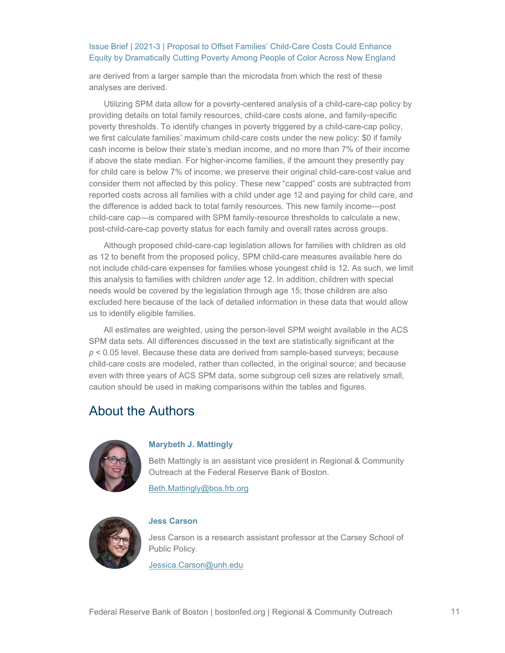are derived from a larger sample than the microdata from which the rest of these analyses are derived.

Utilizing SPM data allow for a poverty-centered analysis of a child-care-cap policy by providing details on total family resources, child-care costs alone, and family-specific poverty thresholds. To identify changes in poverty triggered by a child-care-cap policy, we first calculate families' maximum child-care costs under the new policy: \$0 if family cash income is below their state's median income, and no more than 7% of their income if above the state median. For higher-income families, if the amount they presently pay for child care is below 7% of income, we preserve their original child-care-cost value and consider them not affected by this policy. These new "capped" costs are subtracted from reported costs across all families with a child under age 12 and paying for child care, and the difference is added back to total family resources. This new family income—post child-care cap—is compared with SPM family-resource thresholds to calculate a new, post-child-care-cap poverty status for each family and overall rates across groups.

Although proposed child-care-cap legislation allows for families with children as old as 12 to benefit from the proposed policy, SPM child-care measures available here do not include child-care expenses for families whose youngest child is 12. As such, we limit this analysis to families with children *under* age 12. In addition, children with special needs would be covered by the legislation through age 15; those children are also excluded here because of the lack of detailed information in these data that would allow us to identify eligible families.

All estimates are weighted, using the person-level SPM weight available in the ACS SPM data sets. All differences discussed in the text are statistically significant at the *p* < 0.05 level. Because these data are derived from sample-based surveys; because child-care costs are modeled, rather than collected, in the original source; and because even with three years of ACS SPM data, some subgroup cell sizes are relatively small, caution should be used in making comparisons within the tables and figures.

## <span id="page-10-0"></span>About the Authors



#### **Marybeth J. Mattingly**

Beth Mattingly is an assistant vice president in Regional & Community Outreach at the Federal Reserve Bank of Boston.

[Beth.Mattingly@bos.frb.org](mailto:Beth.Mattingly@bos.frb.org)



#### **Jess Carson**

Jess Carson is a research assistant professor at the Carsey School of Public Policy.

[Jessica.Carson@unh.edu](mailto:Jessica.Carson@unh.edu)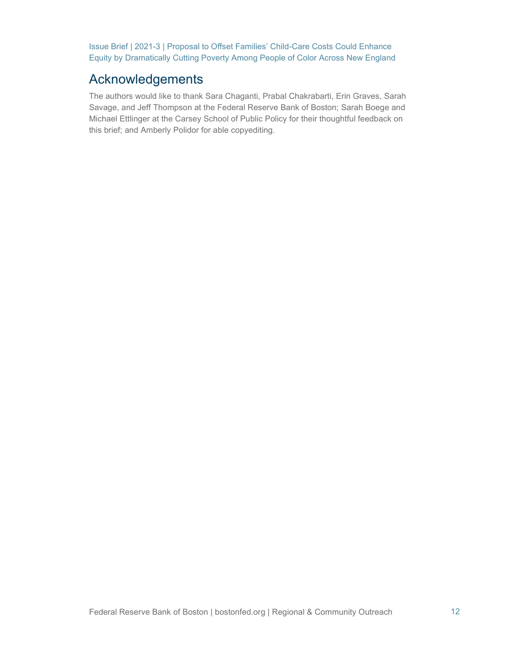# <span id="page-11-0"></span>Acknowledgements

The authors would like to thank Sara Chaganti, Prabal Chakrabarti, Erin Graves, Sarah Savage, and Jeff Thompson at the Federal Reserve Bank of Boston; Sarah Boege and Michael Ettlinger at the Carsey School of Public Policy for their thoughtful feedback on this brief; and Amberly Polidor for able copyediting.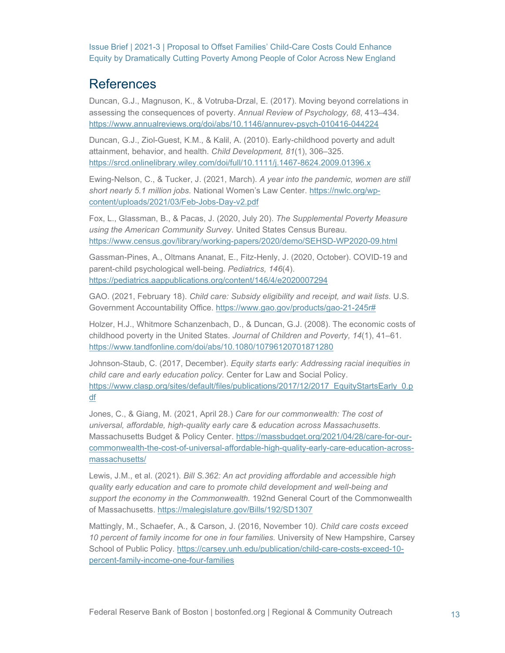# <span id="page-12-0"></span>**References**

Duncan, G.J., Magnuson, K., & Votruba-Drzal, E. (2017). Moving beyond correlations in assessing the consequences of poverty. *Annual Review of Psychology, 68*, 413–434. <https://www.annualreviews.org/doi/abs/10.1146/annurev-psych-010416-044224>

Duncan, G.J., Ziol-Guest, K.M., & Kalil, A. (2010). Early-childhood poverty and adult attainment, behavior, and health. *Child Development, 81*(1), 306–325. <https://srcd.onlinelibrary.wiley.com/doi/full/10.1111/j.1467-8624.2009.01396.x>

Ewing-Nelson, C., & Tucker, J. (2021, March). *A year into the pandemic, women are still short nearly 5.1 million jobs.* National Women's Law Center. [https://nwlc.org/wp](https://nwlc.org/wp-content/uploads/2021/03/Feb-Jobs-Day-v2.pdf)[content/uploads/2021/03/Feb-Jobs-Day-v2.pdf](https://nwlc.org/wp-content/uploads/2021/03/Feb-Jobs-Day-v2.pdf)

Fox, L., Glassman, B., & Pacas, J. (2020, July 20). *The Supplemental Poverty Measure using the American Community Survey.* United States Census Bureau. <https://www.census.gov/library/working-papers/2020/demo/SEHSD-WP2020-09.html>

Gassman-Pines, A., Oltmans Ananat, E., Fitz-Henly, J. (2020, October). COVID-19 and parent-child psychological well-being. *Pediatrics, 146*(4). <https://pediatrics.aappublications.org/content/146/4/e2020007294>

GAO. (2021, February 18). *Child care: Subsidy eligibility and receipt, and wait lists.* U.S. Government Accountability Office. [https://www.gao.gov/products/gao-21-245r#](https://www.gao.gov/products/gao-21-245r)

Holzer, H.J., Whitmore Schanzenbach, D., & Duncan, G.J. (2008). The economic costs of childhood poverty in the United States. *Journal of Children and Poverty, 14*(1), 41–61. <https://www.tandfonline.com/doi/abs/10.1080/10796120701871280>

Johnson-Staub, C. (2017, December). *Equity starts early: Addressing racial inequities in child care and early education policy.* Center for Law and Social Policy. [https://www.clasp.org/sites/default/files/publications/2017/12/2017\\_EquityStartsEarly\\_0.p](https://www.clasp.org/sites/default/files/publications/2017/12/2017_EquityStartsEarly_0.pdf) [df](https://www.clasp.org/sites/default/files/publications/2017/12/2017_EquityStartsEarly_0.pdf)

Jones, C., & Giang, M. (2021, April 28.) *Care for our commonwealth: The cost of universal, affordable, high-quality early care & education across Massachusetts.* Massachusetts Budget & Policy Center. [https://massbudget.org/2021/04/28/care-for-our](https://massbudget.org/2021/04/28/care-for-our-commonwealth-the-cost-of-universal-affordable-high-quality-early-care-education-across-massachusetts/)[commonwealth-the-cost-of-universal-affordable-high-quality-early-care-education-across](https://massbudget.org/2021/04/28/care-for-our-commonwealth-the-cost-of-universal-affordable-high-quality-early-care-education-across-massachusetts/)[massachusetts/](https://massbudget.org/2021/04/28/care-for-our-commonwealth-the-cost-of-universal-affordable-high-quality-early-care-education-across-massachusetts/)

Lewis, J.M., et al. (2021). *Bill S.362: An act providing affordable and accessible high quality early education and care to promote child development and well-being and support the economy in the Commonwealth.* 192nd General Court of the Commonwealth of Massachusetts.<https://malegislature.gov/Bills/192/SD1307>

Mattingly, M., Schaefer, A., & Carson, J. (2016, November 10*). Child care costs exceed 10 percent of family income for one in four families.* University of New Hampshire, Carsey School of Public Policy. [https://carsey.unh.edu/publication/child-care-costs-exceed-10](https://carsey.unh.edu/publication/child-care-costs-exceed-10-percent-family-income-one-four-families) [percent-family-income-one-four-families](https://carsey.unh.edu/publication/child-care-costs-exceed-10-percent-family-income-one-four-families)